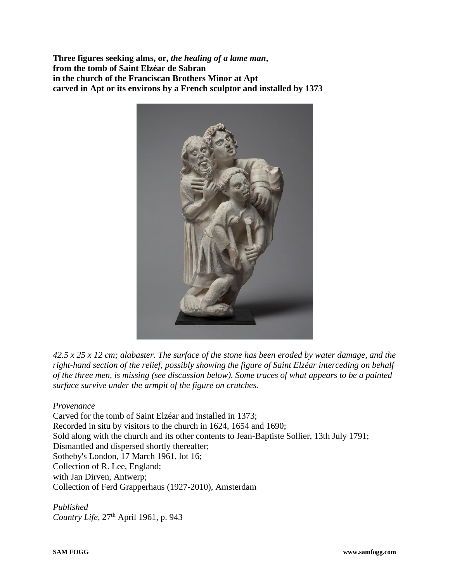**Three figures seeking alms, or,** *the healing of a lame man***, from the tomb of Saint Elzéar de Sabran in the church of the Franciscan Brothers Minor at Apt carved in Apt or its environs by a French sculptor and installed by 1373**



 $42.5 \times 25 \times 12$  cm; alabaster. The surface of the stone has been eroded by water damage, and the *right-hand section of the relief, possibly showing the figure of Saint Elzéar interceding on behalf of the three men, is missing (see discussion below). Some traces of what appears to be a painted surface survive under the armpit of the figure on crutches.*

## *Provenance*

Carved for the tomb of Saint Elzéar and installed in 1373; Recorded in situ by visitors to the church in 1624, 1654 and 1690; Sold along with the church and its other contents to Jean-Baptiste Sollier, 13th July 1791; Dismantled and dispersed shortly thereafter; Sotheby's London, 17 March 1961, lot 16; Collection of R. Lee, England; with Jan Dirven, Antwerp; Collection of Ferd Grapperhaus (1927-2010), Amsterdam

*Published Country Life*,  $27<sup>th</sup>$  April 1961, p. 943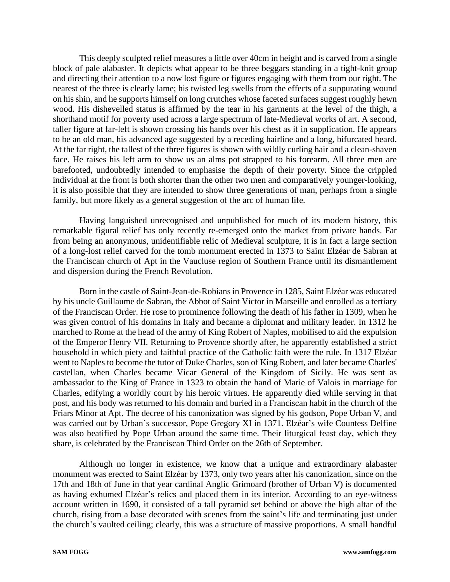This deeply sculpted relief measures a little over 40cm in height and is carved from a single block of pale alabaster. It depicts what appear to be three beggars standing in a tight-knit group and directing their attention to a now lost figure or figures engaging with them from our right. The nearest of the three is clearly lame; his twisted leg swells from the effects of a suppurating wound on his shin, and he supports himself on long crutches whose faceted surfaces suggest roughly hewn wood. His dishevelled status is affirmed by the tear in his garments at the level of the thigh, a shorthand motif for poverty used across a large spectrum of late-Medieval works of art. A second, taller figure at far-left is shown crossing his hands over his chest as if in supplication. He appears to be an old man, his advanced age suggested by a receding hairline and a long, bifurcated beard. At the far right, the tallest of the three figures is shown with wildly curling hair and a clean-shaven face. He raises his left arm to show us an alms pot strapped to his forearm. All three men are barefooted, undoubtedly intended to emphasise the depth of their poverty. Since the crippled individual at the front is both shorter than the other two men and comparatively younger-looking, it is also possible that they are intended to show three generations of man, perhaps from a single family, but more likely as a general suggestion of the arc of human life.

Having languished unrecognised and unpublished for much of its modern history, this remarkable figural relief has only recently re-emerged onto the market from private hands. Far from being an anonymous, unidentifiable relic of Medieval sculpture, it is in fact a large section of a long-lost relief carved for the tomb monument erected in 1373 to Saint Elzéar de Sabran at the Franciscan church of Apt in the Vaucluse region of Southern France until its dismantlement and dispersion during the French Revolution.

Born in the castle of Saint-Jean-de-Robians in Provence in 1285, Saint Elzéar was educated by his uncle Guillaume de Sabran, the Abbot of Saint Victor in Marseille and enrolled as a tertiary of the Franciscan Order. He rose to prominence following the death of his father in 1309, when he was given control of his domains in Italy and became a diplomat and military leader. In 1312 he marched to Rome at the head of the army of King Robert of Naples, mobilised to aid the expulsion of the Emperor Henry VII. Returning to Provence shortly after, he apparently established a strict household in which piety and faithful practice of the Catholic faith were the rule. In 1317 Elzéar went to Naples to become the tutor of Duke Charles, son of King Robert, and later became Charles' castellan, when Charles became Vicar General of the Kingdom of Sicily. He was sent as ambassador to the King of France in 1323 to obtain the hand of Marie of Valois in marriage for Charles, edifying a worldly court by his heroic virtues. He apparently died while serving in that post, and his body was returned to his domain and buried in a Franciscan habit in the church of the Friars Minor at Apt. The decree of his canonization was signed by his godson, Pope Urban V, and was carried out by Urban's successor, Pope Gregory XI in 1371. Elzéar's wife Countess Delfine was also beatified by Pope Urban around the same time. Their liturgical feast day, which they share, is celebrated by the Franciscan Third Order on the 26th of September.

Although no longer in existence, we know that a unique and extraordinary alabaster monument was erected to Saint Elzéar by 1373, only two years after his canonization, since on the 17th and 18th of June in that year cardinal Anglic Grimoard (brother of Urban V) is documented as having exhumed Elzéar's relics and placed them in its interior. According to an eye-witness account written in 1690, it consisted of a tall pyramid set behind or above the high altar of the church, rising from a base decorated with scenes from the saint's life and terminating just under the church's vaulted ceiling; clearly, this was a structure of massive proportions. A small handful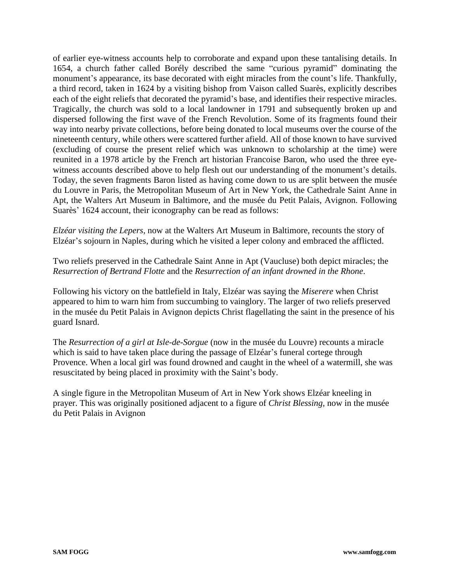of earlier eye-witness accounts help to corroborate and expand upon these tantalising details. In 1654, a church father called Borély described the same "curious pyramid" dominating the monument's appearance, its base decorated with eight miracles from the count's life. Thankfully, a third record, taken in 1624 by a visiting bishop from Vaison called Suarès, explicitly describes each of the eight reliefs that decorated the pyramid's base, and identifies their respective miracles. Tragically, the church was sold to a local landowner in 1791 and subsequently broken up and dispersed following the first wave of the French Revolution. Some of its fragments found their way into nearby private collections, before being donated to local museums over the course of the nineteenth century, while others were scattered further afield. All of those known to have survived (excluding of course the present relief which was unknown to scholarship at the time) were reunited in a 1978 article by the French art historian Francoise Baron, who used the three eyewitness accounts described above to help flesh out our understanding of the monument's details. Today, the seven fragments Baron listed as having come down to us are split between the musée du Louvre in Paris, the Metropolitan Museum of Art in New York, the Cathedrale Saint Anne in Apt, the Walters Art Museum in Baltimore, and the musée du Petit Palais, Avignon. Following Suarès' 1624 account, their iconography can be read as follows:

*Elzéar visiting the Lepers*, now at the Walters Art Museum in Baltimore, recounts the story of Elzéar's sojourn in Naples, during which he visited a leper colony and embraced the afflicted.

Two reliefs preserved in the Cathedrale Saint Anne in Apt (Vaucluse) both depict miracles; the *Resurrection of Bertrand Flotte* and the *Resurrection of an infant drowned in the Rhone*.

Following his victory on the battlefield in Italy, Elzéar was saying the *Miserere* when Christ appeared to him to warn him from succumbing to vainglory. The larger of two reliefs preserved in the musée du Petit Palais in Avignon depicts Christ flagellating the saint in the presence of his guard Isnard.

The *Resurrection of a girl at Isle-de-Sorgue* (now in the musée du Louvre) recounts a miracle which is said to have taken place during the passage of Elzéar's funeral cortege through Provence. When a local girl was found drowned and caught in the wheel of a watermill, she was resuscitated by being placed in proximity with the Saint's body.

A single figure in the Metropolitan Museum of Art in New York shows Elzéar kneeling in prayer. This was originally positioned adjacent to a figure of *Christ Blessing,* now in the musée du Petit Palais in Avignon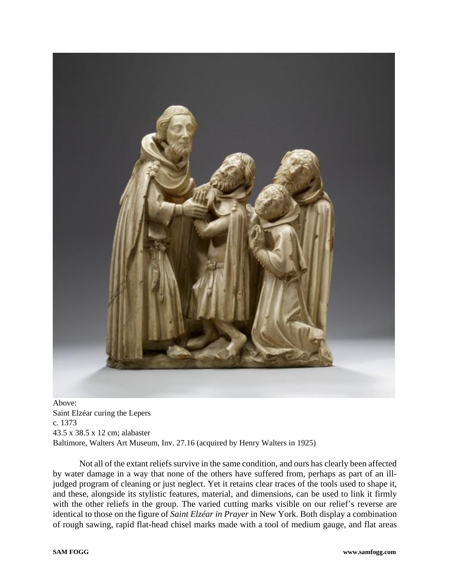

Above: Saint Elzéar curing the Lepers c. 1373 43.5 x 38.5 x 12 cm; alabaster Baltimore, Walters Art Museum, Inv. 27.16 (acquired by Henry Walters in 1925)

Not all of the extant reliefs survive in the same condition, and ours has clearly been affected by water damage in a way that none of the others have suffered from, perhaps as part of an illjudged program of cleaning or just neglect. Yet it retains clear traces of the tools used to shape it, and these, alongside its stylistic features, material, and dimensions, can be used to link it firmly with the other reliefs in the group. The varied cutting marks visible on our relief's reverse are identical to those on the figure of *Saint Elzéar in Prayer* in New York. Both display a combination of rough sawing, rapid flat-head chisel marks made with a tool of medium gauge, and flat areas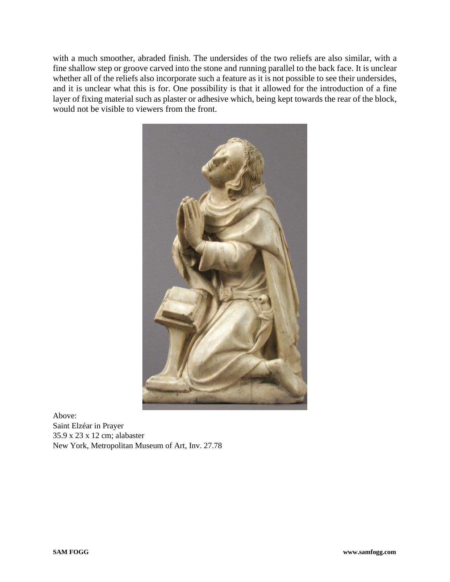with a much smoother, abraded finish. The undersides of the two reliefs are also similar, with a fine shallow step or groove carved into the stone and running parallel to the back face. It is unclear whether all of the reliefs also incorporate such a feature as it is not possible to see their undersides, and it is unclear what this is for. One possibility is that it allowed for the introduction of a fine layer of fixing material such as plaster or adhesive which, being kept towards the rear of the block, would not be visible to viewers from the front.



Above: Saint Elzéar in Prayer 35.9 x 23 x 12 cm; alabaster New York, Metropolitan Museum of Art, Inv. 27.78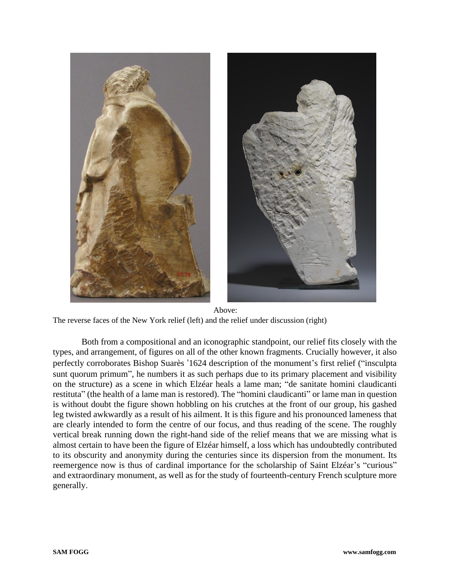

Above: The reverse faces of the New York relief (left) and the relief under discussion (right)

Both from a compositional and an iconographic standpoint, our relief fits closely with the types, and arrangement, of figures on all of the other known fragments. Crucially however, it also perfectly corroborates Bishop Suarès '1624 description of the monument's first relief ("insculpta sunt quorum primum", he numbers it as such perhaps due to its primary placement and visibility on the structure) as a scene in which Elzéar heals a lame man; "de sanitate homini claudicanti restituta" (the health of a lame man is restored). The "homini claudicanti" or lame man in question is without doubt the figure shown hobbling on his crutches at the front of our group, his gashed leg twisted awkwardly as a result of his ailment. It is this figure and his pronounced lameness that are clearly intended to form the centre of our focus, and thus reading of the scene. The roughly vertical break running down the right-hand side of the relief means that we are missing what is almost certain to have been the figure of Elzéar himself, a loss which has undoubtedly contributed to its obscurity and anonymity during the centuries since its dispersion from the monument. Its reemergence now is thus of cardinal importance for the scholarship of Saint Elzéar's "curious" and extraordinary monument, as well as for the study of fourteenth-century French sculpture more generally.